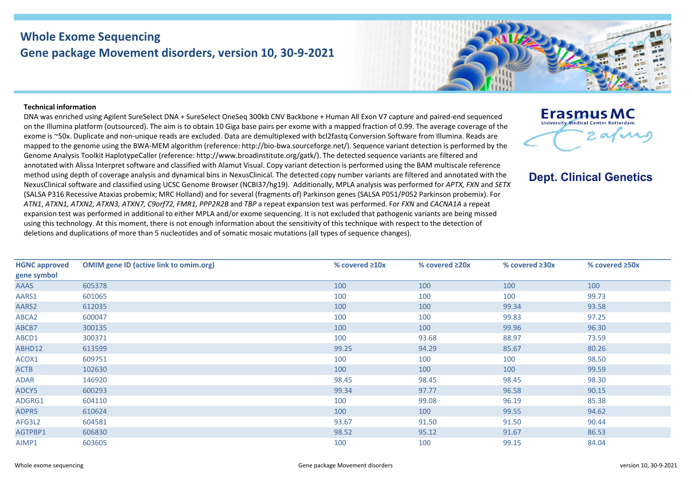## **Whole Exome Sequencing Gene package Movement disorders, version 10, 30-9-2021**



## **Technical information**

DNA was enriched using Agilent SureSelect DNA + SureSelect OneSeq 300kb CNV Backbone + Human All Exon V7 capture and paired-end sequenced on the Illumina platform (outsourced). The aim is to obtain 10 Giga base pairs per exome with a mapped fraction of 0.99. The average coverage of the exome is ~50x. Duplicate and non-unique reads are excluded. Data are demultiplexed with bcl2fastq Conversion Software from Illumina. Reads are mapped to the genome using the BWA-MEM algorithm (reference: http://bio-bwa.sourceforge.net/). Sequence variant detection is performed by the Genome Analysis Toolkit HaplotypeCaller (reference: http://www.broadinstitute.org/gatk/). The detected sequence variants are filtered and annotated with Alissa Interpret software and classified with Alamut Visual. Copy variant detection is performed using the BAM multiscale reference method using depth of coverage analysis and dynamical bins in NexusClinical. The detected copy number variants are filtered and annotated with the NexusClinical software and classified using UCSC Genome Browser (NCBI37/hg19). Additionally, MPLA analysis was performed for *APTX, FXN* and *SETX* (SALSA P316 Recessive Ataxias probemix; MRC Holland) and for several (fragments of) Parkinson genes (SALSA P051/P052 Parkinson probemix). For *ATN1*, *ATXN1, ATXN2, ATXN3, ATXN7, C9orf72, FMR1, PPP2R2B* and *TBP* a repeat expansion test was performed. For *FXN* and *CACNA1A* a repeat expansion test was performed in additional to either MPLA and/or exome sequencing. It is not excluded that pathogenic variants are being missed using this technology. At this moment, there is not enough information about the sensitivity of this technique with respect to the detection of deletions and duplications of more than 5 nucleotides and of somatic mosaic mutations (all types of sequence changes).



**Dept. Clinical Genetics** 

| <b>HGNC approved</b> | <b>OMIM gene ID (active link to omim.org)</b> | % covered $\geq 10x$ | % covered $\geq 20x$ | % covered $\geq 30x$ | % covered $\geq$ 50x |
|----------------------|-----------------------------------------------|----------------------|----------------------|----------------------|----------------------|
| gene symbol          |                                               |                      |                      |                      |                      |
| AAAS                 | 605378                                        | 100                  | 100                  | 100                  | 100                  |
| AARS1                | 601065                                        | 100                  | 100                  | 100                  | 99.73                |
| AARS2                | 612035                                        | 100                  | 100                  | 99.34                | 93.58                |
| ABCA2                | 600047                                        | 100                  | 100                  | 99.83                | 97.25                |
| ABCB7                | 300135                                        | 100                  | 100                  | 99.96                | 96.30                |
| ABCD1                | 300371                                        | 100                  | 93.68                | 88.97                | 73.59                |
| ABHD12               | 613599                                        | 99.25                | 94.29                | 85.67                | 80.26                |
| ACOX1                | 609751                                        | 100                  | 100                  | 100                  | 98.50                |
| <b>ACTB</b>          | 102630                                        | 100                  | 100                  | 100                  | 99.59                |
| <b>ADAR</b>          | 146920                                        | 98.45                | 98.45                | 98.45                | 98.30                |
| ADCY5                | 600293                                        | 99.34                | 97.77                | 96.58                | 90.15                |
| ADGRG1               | 604110                                        | 100                  | 99.08                | 96.19                | 85.38                |
| <b>ADPRS</b>         | 610624                                        | 100                  | 100                  | 99.55                | 94.62                |
| AFG3L2               | 604581                                        | 93.67                | 91.50                | 91.50                | 90.44                |
| AGTPBP1              | 606830                                        | 98.52                | 95.12                | 91.67                | 86.53                |
| AIMP1                | 603605                                        | 100                  | 100                  | 99.15                | 84.04                |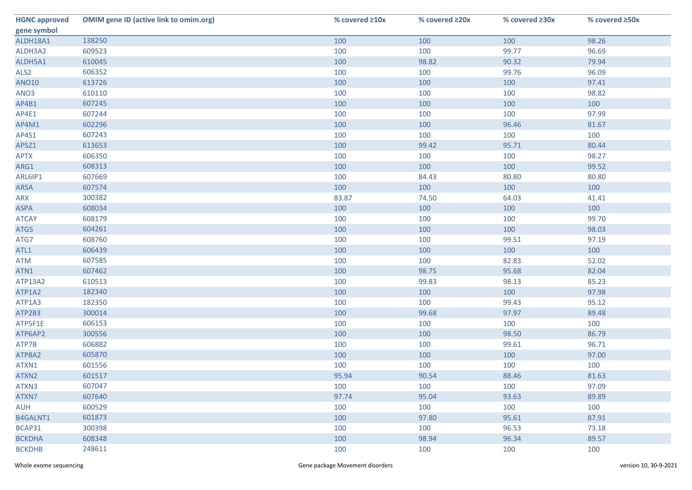| <b>HGNC approved</b> | <b>OMIM gene ID (active link to omim.org)</b> | % covered ≥10x | % covered ≥20x | % covered ≥30x | % covered ≥50x |
|----------------------|-----------------------------------------------|----------------|----------------|----------------|----------------|
| gene symbol          |                                               |                |                |                |                |
| ALDH18A1             | 138250                                        | 100            | 100            | 100            | 98.26          |
| ALDH3A2              | 609523                                        | 100            | 100            | 99.77          | 96.69          |
| ALDH5A1              | 610045                                        | 100            | 98.82          | 90.32          | 79.94          |
| ALS <sub>2</sub>     | 606352                                        | 100            | 100            | 99.76          | 96.09          |
| <b>ANO10</b>         | 613726                                        | 100            | 100            | 100            | 97.41          |
| ANO3                 | 610110                                        | 100            | 100            | 100            | 98.82          |
| AP4B1                | 607245                                        | 100            | 100            | 100            | 100            |
| AP4E1                | 607244                                        | 100            | 100            | 100            | 97.99          |
| AP4M1                | 602296                                        | 100            | 100            | 96.46          | 81.67          |
| AP4S1                | 607243                                        | 100            | 100            | 100            | 100            |
| AP5Z1                | 613653                                        | 100            | 99.42          | 95.71          | 80.44          |
| <b>APTX</b>          | 606350                                        | 100            | 100            | 100            | 98.27          |
| ARG1                 | 608313                                        | 100            | 100            | 100            | 99.52          |
| ARL6IP1              | 607669                                        | 100            | 84.43          | 80.80          | 80.80          |
| ARSA                 | 607574                                        | 100            | 100            | 100            | 100            |
| ARX                  | 300382                                        | 83.87          | 74.50          | 64.03          | 41.41          |
| <b>ASPA</b>          | 608034                                        | 100            | 100            | 100            | 100            |
| <b>ATCAY</b>         | 608179                                        | 100            | 100            | 100            | 99.70          |
| ATG5                 | 604261                                        | 100            | 100            | 100            | 98.03          |
| ATG7                 | 608760                                        | 100            | 100            | 99.51          | 97.19          |
| ATL1                 | 606439                                        | 100            | 100            | 100            | 100            |
| ATM                  | 607585                                        | 100            | 100            | 82.83          | 52.02          |
| ATN1                 | 607462                                        | 100            | 98.75          | 95.68          | 82.04          |
| ATP13A2              | 610513                                        | 100            | 99.83          | 98.13          | 85.23          |
| ATP1A2               | 182340                                        | 100            | 100            | 100            | 97.98          |
| ATP1A3               | 182350                                        | 100            | 100            | 99.43          | 95.12          |
| ATP2B3               | 300014                                        | 100            | 99.68          | 97.97          | 89.48          |
| ATP5F1E              | 606153                                        | 100            | 100            | 100            | 100            |
| ATP6AP2              | 300556                                        | 100            | 100            | 98.50          | 86.79          |
| ATP7B                | 606882                                        | 100            | 100            | 99.61          | 96.71          |
| ATP8A2               | 605870                                        | 100            | 100            | 100            | 97.00          |
| ATXN1                | 601556                                        | 100            | 100            | 100            | 100            |
| ATXN2                | 601517                                        | 95.94          | 90.54          | 88.46          | 81.63          |
| ATXN3                | 607047                                        | 100            | 100            | 100            | 97.09          |
| ATXN7                | 607640                                        | 97.74          | 95.04          | 93.63          | 89.89          |
| <b>AUH</b>           | 600529                                        | 100            | 100            | 100            | 100            |
| B4GALNT1             | 601873                                        | 100            | 97.80          | 95.61          | 87.91          |
| BCAP31               | 300398                                        | 100            | 100            | 96.53          | 73.18          |
| <b>BCKDHA</b>        | 608348                                        | 100            | 98.94          | 96.34          | 89.57          |
| <b>BCKDHB</b>        | 248611                                        | 100            | 100            | 100            | 100            |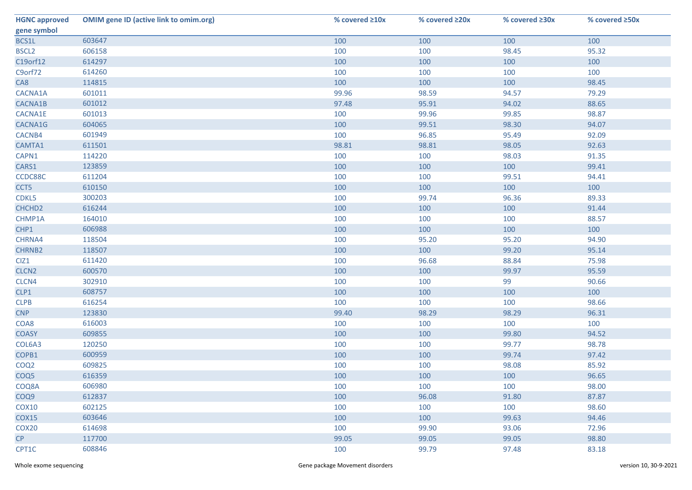| <b>HGNC approved</b> | <b>OMIM gene ID (active link to omim.org)</b> | % covered ≥10x | % covered ≥20x | % covered ≥30x | % covered ≥50x |
|----------------------|-----------------------------------------------|----------------|----------------|----------------|----------------|
| gene symbol          |                                               |                |                |                |                |
| BCS1L                | 603647                                        | 100            | 100            | 100            | 100            |
| <b>BSCL2</b>         | 606158                                        | 100            | 100            | 98.45          | 95.32          |
| C19orf12             | 614297                                        | 100            | 100            | 100            | 100            |
| C9orf72              | 614260                                        | 100            | 100            | 100            | 100            |
| CA8                  | 114815                                        | 100            | 100            | 100            | 98.45          |
| CACNA1A              | 601011                                        | 99.96          | 98.59          | 94.57          | 79.29          |
| CACNA1B              | 601012                                        | 97.48          | 95.91          | 94.02          | 88.65          |
| CACNA1E              | 601013                                        | 100            | 99.96          | 99.85          | 98.87          |
| CACNA1G              | 604065                                        | 100            | 99.51          | 98.30          | 94.07          |
| CACNB4               | 601949                                        | 100            | 96.85          | 95.49          | 92.09          |
| CAMTA1               | 611501                                        | 98.81          | 98.81          | 98.05          | 92.63          |
| CAPN1                | 114220                                        | 100            | 100            | 98.03          | 91.35          |
| CARS1                | 123859                                        | 100            | 100            | 100            | 99.41          |
| CCDC88C              | 611204                                        | 100            | 100            | 99.51          | 94.41          |
| CCT5                 | 610150                                        | 100            | 100            | 100            | 100            |
| CDKL5                | 300203                                        | 100            | 99.74          | 96.36          | 89.33          |
| CHCHD <sub>2</sub>   | 616244                                        | 100            | 100            | 100            | 91.44          |
| CHMP1A               | 164010                                        | 100            | 100            | 100            | 88.57          |
| CHP1                 | 606988                                        | 100            | 100            | 100            | 100            |
| CHRNA4               | 118504                                        | 100            | 95.20          | 95.20          | 94.90          |
| CHRNB2               | 118507                                        | 100            | 100            | 99.20          | 95.14          |
| CIZ1                 | 611420                                        | 100            | 96.68          | 88.84          | 75.98          |
| CLCN <sub>2</sub>    | 600570                                        | 100            | 100            | 99.97          | 95.59          |
| CLCN4                | 302910                                        | 100            | 100            | 99             | 90.66          |
| CLP1                 | 608757                                        | 100            | 100            | 100            | 100            |
| CLPB                 | 616254                                        | 100            | 100            | 100            | 98.66          |
| <b>CNP</b>           | 123830                                        | 99.40          | 98.29          | 98.29          | 96.31          |
| COA8                 | 616003                                        | 100            | 100            | 100            | 100            |
| <b>COASY</b>         | 609855                                        | 100            | 100            | 99.80          | 94.52          |
| COL6A3               | 120250                                        | 100            | 100            | 99.77          | 98.78          |
| COPB1                | 600959                                        | 100            | 100            | 99.74          | 97.42          |
| COQ <sub>2</sub>     | 609825                                        | 100            | 100            | 98.08          | 85.92          |
| COQ <sub>5</sub>     | 616359                                        | 100            | 100            | 100            | 96.65          |
| COQ8A                | 606980                                        | 100            | 100            | 100            | 98.00          |
| COQ9                 | 612837                                        | 100            | 96.08          | 91.80          | 87.87          |
| <b>COX10</b>         | 602125                                        | 100            | 100            | 100            | 98.60          |
| COX15                | 603646                                        | 100            | 100            | 99.63          | 94.46          |
| COX <sub>20</sub>    | 614698                                        | 100            | 99.90          | 93.06          | 72.96          |
| CP                   | 117700                                        | 99.05          | 99.05          | 99.05          | 98.80          |
| CPT1C                | 608846                                        | 100            | 99.79          | 97.48          | 83.18          |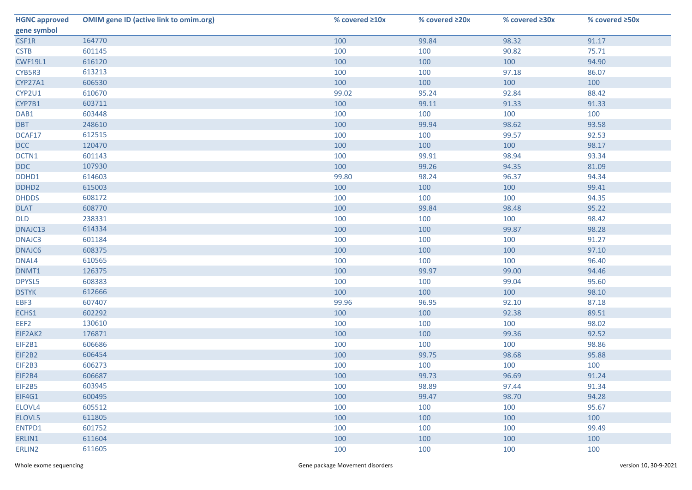| <b>HGNC approved</b> | <b>OMIM gene ID (active link to omim.org)</b> | % covered ≥10x | % covered ≥20x | % covered ≥30x | % covered ≥50x |
|----------------------|-----------------------------------------------|----------------|----------------|----------------|----------------|
| gene symbol          |                                               |                |                |                |                |
| CSF1R                | 164770                                        | 100            | 99.84          | 98.32          | 91.17          |
| <b>CSTB</b>          | 601145                                        | 100            | 100            | 90.82          | 75.71          |
| <b>CWF19L1</b>       | 616120                                        | 100            | 100            | 100            | 94.90          |
| CYB5R3               | 613213                                        | 100            | 100            | 97.18          | 86.07          |
| <b>CYP27A1</b>       | 606530                                        | 100            | 100            | 100            | 100            |
| CYP2U1               | 610670                                        | 99.02          | 95.24          | 92.84          | 88.42          |
| CYP7B1               | 603711                                        | 100            | 99.11          | 91.33          | 91.33          |
| DAB1                 | 603448                                        | 100            | 100            | 100            | 100            |
| <b>DBT</b>           | 248610                                        | 100            | 99.94          | 98.62          | 93.58          |
| DCAF17               | 612515                                        | 100            | 100            | 99.57          | 92.53          |
| <b>DCC</b>           | 120470                                        | 100            | 100            | 100            | 98.17          |
| DCTN1                | 601143                                        | 100            | 99.91          | 98.94          | 93.34          |
| <b>DDC</b>           | 107930                                        | 100            | 99.26          | 94.35          | 81.09          |
| DDHD1                | 614603                                        | 99.80          | 98.24          | 96.37          | 94.34          |
| DDHD <sub>2</sub>    | 615003                                        | 100            | 100            | 100            | 99.41          |
| <b>DHDDS</b>         | 608172                                        | 100            | 100            | 100            | 94.35          |
| <b>DLAT</b>          | 608770                                        | 100            | 99.84          | 98.48          | 95.22          |
| <b>DLD</b>           | 238331                                        | 100            | 100            | 100            | 98.42          |
| DNAJC13              | 614334                                        | 100            | 100            | 99.87          | 98.28          |
| DNAJC3               | 601184                                        | 100            | 100            | 100            | 91.27          |
| DNAJC6               | 608375                                        | 100            | 100            | 100            | 97.10          |
| DNAL4                | 610565                                        | 100            | 100            | 100            | 96.40          |
| DNMT1                | 126375                                        | 100            | 99.97          | 99.00          | 94.46          |
| DPYSL5               | 608383                                        | 100            | 100            | 99.04          | 95.60          |
| <b>DSTYK</b>         | 612666                                        | 100            | 100            | 100            | 98.10          |
| EBF3                 | 607407                                        | 99.96          | 96.95          | 92.10          | 87.18          |
| ECHS1                | 602292                                        | 100            | 100            | 92.38          | 89.51          |
| EEF <sub>2</sub>     | 130610                                        | 100            | 100            | 100            | 98.02          |
| EIF2AK2              | 176871                                        | 100            | 100            | 99.36          | 92.52          |
| EIF2B1               | 606686                                        | 100            | 100            | 100            | 98.86          |
| EIF2B2               | 606454                                        | 100            | 99.75          | 98.68          | 95.88          |
| EIF2B3               | 606273                                        | 100            | 100            | 100            | 100            |
| EIF2B4               | 606687                                        | 100            | 99.73          | 96.69          | 91.24          |
| EIF2B5               | 603945                                        | 100            | 98.89          | 97.44          | 91.34          |
| EIF4G1               | 600495                                        | 100            | 99.47          | 98.70          | 94.28          |
| ELOVL4               | 605512                                        | 100            | 100            | 100            | 95.67          |
| ELOVL5               | 611805                                        | 100            | 100            | 100            | 100            |
| ENTPD1               | 601752                                        | 100            | 100            | 100            | 99.49          |
| ERLIN1               | 611604                                        | 100            | 100            | 100            | 100            |
|                      |                                               | 100            | 100            | 100            | 100            |
| ERLIN2               | 611605                                        |                |                |                |                |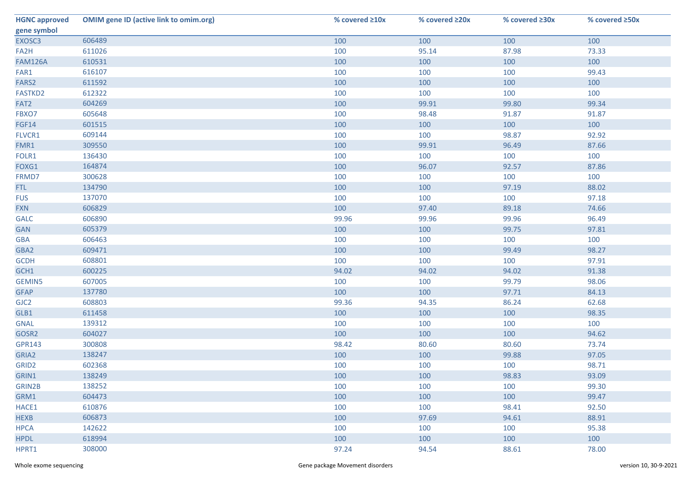| <b>HGNC approved</b> | <b>OMIM gene ID (active link to omim.org)</b> | % covered ≥10x | % covered ≥20x | % covered ≥30x | % covered ≥50x |
|----------------------|-----------------------------------------------|----------------|----------------|----------------|----------------|
| gene symbol          |                                               |                |                |                |                |
| EXOSC3               | 606489                                        | 100            | 100            | 100            | 100            |
| FA2H                 | 611026                                        | 100            | 95.14          | 87.98          | 73.33          |
| <b>FAM126A</b>       | 610531                                        | 100            | 100            | 100            | 100            |
| FAR1                 | 616107                                        | 100            | 100            | 100            | 99.43          |
| FARS2                | 611592                                        | 100            | 100            | 100            | 100            |
| FASTKD2              | 612322                                        | 100            | 100            | 100            | 100            |
| FAT2                 | 604269                                        | 100            | 99.91          | 99.80          | 99.34          |
| FBXO7                | 605648                                        | 100            | 98.48          | 91.87          | 91.87          |
| <b>FGF14</b>         | 601515                                        | 100            | 100            | 100            | 100            |
| FLVCR1               | 609144                                        | 100            | 100            | 98.87          | 92.92          |
| FMR1                 | 309550                                        | 100            | 99.91          | 96.49          | 87.66          |
| FOLR1                | 136430                                        | 100            | 100            | 100            | 100            |
| FOXG1                | 164874                                        | 100            | 96.07          | 92.57          | 87.86          |
| FRMD7                | 300628                                        | 100            | 100            | 100            | 100            |
| FTL.                 | 134790                                        | 100            | 100            | 97.19          | 88.02          |
| <b>FUS</b>           | 137070                                        | 100            | 100            | 100            | 97.18          |
| <b>FXN</b>           | 606829                                        | 100            | 97.40          | 89.18          | 74.66          |
| <b>GALC</b>          | 606890                                        | 99.96          | 99.96          | 99.96          | 96.49          |
| <b>GAN</b>           | 605379                                        | 100            | 100            | 99.75          | 97.81          |
| <b>GBA</b>           | 606463                                        | 100            | 100            | 100            | 100            |
| GBA2                 | 609471                                        | 100            | 100            | 99.49          | 98.27          |
| <b>GCDH</b>          | 608801                                        | 100            | 100            | 100            | 97.91          |
| GCH1                 | 600225                                        | 94.02          | 94.02          | 94.02          | 91.38          |
| <b>GEMIN5</b>        | 607005                                        | 100            | 100            | 99.79          | 98.06          |
| <b>GFAP</b>          | 137780                                        | 100            | 100            | 97.71          | 84.13          |
| GJC <sub>2</sub>     | 608803                                        | 99.36          | 94.35          | 86.24          | 62.68          |
| GLB1                 | 611458                                        | 100            | 100            | 100            | 98.35          |
| <b>GNAL</b>          | 139312                                        | 100            | 100            | 100            | 100            |
| GOSR2                | 604027                                        | 100            | 100            | 100            | 94.62          |
| <b>GPR143</b>        | 300808                                        | 98.42          | 80.60          | 80.60          | 73.74          |
| GRIA2                | 138247                                        | 100            | 100            | 99.88          | 97.05          |
| GRID <sub>2</sub>    | 602368                                        | 100            | 100            | 100            | 98.71          |
| GRIN1                | 138249                                        | 100            | 100            | 98.83          | 93.09          |
| GRIN2B               | 138252                                        | 100            | 100            | 100            | 99.30          |
| GRM1                 | 604473                                        | 100            | 100            | 100            | 99.47          |
| HACE1                | 610876                                        | 100            | 100            | 98.41          | 92.50          |
| <b>HEXB</b>          | 606873                                        | 100            | 97.69          | 94.61          | 88.91          |
| <b>HPCA</b>          | 142622                                        | 100            | 100            | 100            | 95.38          |
| <b>HPDL</b>          | 618994                                        | 100            | 100            | 100            | 100            |
| HPRT1                | 308000                                        | 97.24          | 94.54          | 88.61          | 78.00          |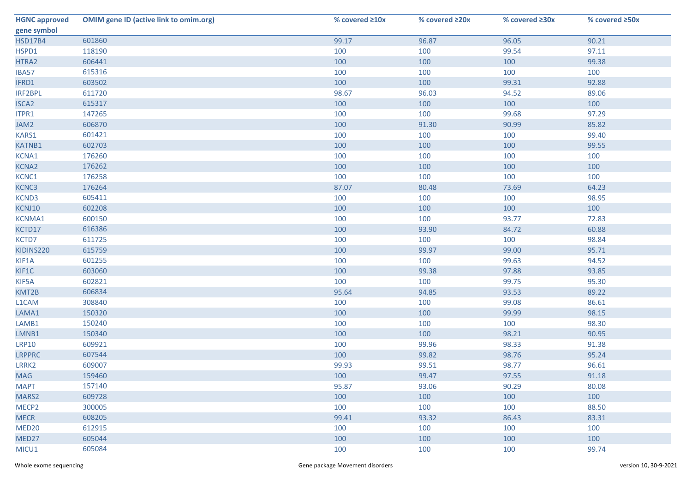| <b>HGNC approved</b> | <b>OMIM gene ID (active link to omim.org)</b> | % covered ≥10x | % covered ≥20x | % covered ≥30x | % covered ≥50x |
|----------------------|-----------------------------------------------|----------------|----------------|----------------|----------------|
| gene symbol          |                                               |                |                |                |                |
| <b>HSD17B4</b>       | 601860                                        | 99.17          | 96.87          | 96.05          | 90.21          |
| HSPD1                | 118190                                        | 100            | 100            | 99.54          | 97.11          |
| HTRA2                | 606441                                        | 100            | 100            | 100            | 99.38          |
| IBA57                | 615316                                        | 100            | 100            | 100            | 100            |
| IFRD1                | 603502                                        | 100            | 100            | 99.31          | 92.88          |
| IRF2BPL              | 611720                                        | 98.67          | 96.03          | 94.52          | 89.06          |
| <b>ISCA2</b>         | 615317                                        | 100            | 100            | 100            | 100            |
| ITPR1                | 147265                                        | 100            | 100            | 99.68          | 97.29          |
| JAM2                 | 606870                                        | 100            | 91.30          | 90.99          | 85.82          |
| KARS1                | 601421                                        | 100            | 100            | 100            | 99.40          |
| <b>KATNB1</b>        | 602703                                        | 100            | 100            | 100            | 99.55          |
| KCNA1                | 176260                                        | 100            | 100            | 100            | 100            |
| <b>KCNA2</b>         | 176262                                        | 100            | 100            | 100            | 100            |
| KCNC1                | 176258                                        | 100            | 100            | 100            | 100            |
| KCNC3                | 176264                                        | 87.07          | 80.48          | 73.69          | 64.23          |
| KCND3                | 605411                                        | 100            | 100            | 100            | 98.95          |
| KCNJ10               | 602208                                        | 100            | 100            | 100            | 100            |
| <b>KCNMA1</b>        | 600150                                        | 100            | 100            | 93.77          | 72.83          |
| KCTD17               | 616386                                        | 100            | 93.90          | 84.72          | 60.88          |
| KCTD7                | 611725                                        | 100            | 100            | 100            | 98.84          |
| KIDINS220            | 615759                                        | 100            | 99.97          | 99.00          | 95.71          |
| KIF1A                | 601255                                        | 100            | 100            | 99.63          | 94.52          |
| KIF1C                | 603060                                        | 100            | 99.38          | 97.88          | 93.85          |
| KIF5A                | 602821                                        | 100            | 100            | 99.75          | 95.30          |
| KMT2B                | 606834                                        | 95.64          | 94.85          | 93.53          | 89.22          |
| L1CAM                | 308840                                        | 100            | 100            | 99.08          | 86.61          |
| LAMA1                | 150320                                        | 100            | 100            | 99.99          | 98.15          |
| LAMB1                | 150240                                        | 100            | 100            | 100            | 98.30          |
| LMNB1                | 150340                                        | 100            | 100            | 98.21          | 90.95          |
| <b>LRP10</b>         | 609921                                        | 100            | 99.96          | 98.33          | 91.38          |
| <b>LRPPRC</b>        | 607544                                        | 100            | 99.82          | 98.76          | 95.24          |
| LRRK2                | 609007                                        | 99.93          | 99.51          | 98.77          | 96.61          |
| <b>MAG</b>           | 159460                                        | 100            | 99.47          | 97.55          | 91.18          |
| <b>MAPT</b>          | 157140                                        | 95.87          | 93.06          | 90.29          | 80.08          |
| MARS2                | 609728                                        | 100            | 100            | 100            | 100            |
| MECP <sub>2</sub>    | 300005                                        | 100            | 100            | 100            | 88.50          |
| <b>MECR</b>          | 608205                                        | 99.41          | 93.32          | 86.43          | 83.31          |
| MED <sub>20</sub>    | 612915                                        | 100            | 100            | 100            | 100            |
| MED27                | 605044                                        | 100            | 100            | 100            | 100            |
| MICU1                | 605084                                        | 100            | 100            | 100            | 99.74          |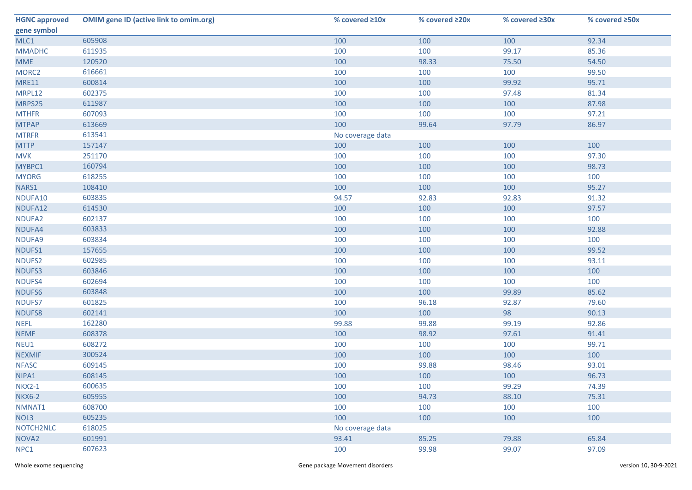| <b>HGNC approved</b> | <b>OMIM gene ID (active link to omim.org)</b> | % covered ≥10x   | % covered ≥20x | % covered ≥30x | % covered ≥50x |
|----------------------|-----------------------------------------------|------------------|----------------|----------------|----------------|
| gene symbol          |                                               |                  |                |                |                |
| MLC1                 | 605908                                        | 100              | 100            | 100            | 92.34          |
| <b>MMADHC</b>        | 611935                                        | 100              | 100            | 99.17          | 85.36          |
| <b>MME</b>           | 120520                                        | 100              | 98.33          | 75.50          | 54.50          |
| MORC <sub>2</sub>    | 616661                                        | 100              | 100            | 100            | 99.50          |
| <b>MRE11</b>         | 600814                                        | 100              | 100            | 99.92          | 95.71          |
| MRPL12               | 602375                                        | 100              | 100            | 97.48          | 81.34          |
| MRPS25               | 611987                                        | 100              | 100            | 100            | 87.98          |
| <b>MTHFR</b>         | 607093                                        | 100              | 100            | 100            | 97.21          |
| <b>MTPAP</b>         | 613669                                        | 100              | 99.64          | 97.79          | 86.97          |
| <b>MTRFR</b>         | 613541                                        | No coverage data |                |                |                |
| <b>MTTP</b>          | 157147                                        | 100              | 100            | 100            | 100            |
| <b>MVK</b>           | 251170                                        | 100              | 100            | 100            | 97.30          |
| MYBPC1               | 160794                                        | 100              | 100            | 100            | 98.73          |
| <b>MYORG</b>         | 618255                                        | 100              | 100            | 100            | 100            |
| NARS1                | 108410                                        | 100              | 100            | 100            | 95.27          |
| NDUFA10              | 603835                                        | 94.57            | 92.83          | 92.83          | 91.32          |
| NDUFA12              | 614530                                        | 100              | 100            | 100            | 97.57          |
| NDUFA2               | 602137                                        | 100              | 100            | 100            | 100            |
| NDUFA4               | 603833                                        | 100              | 100            | 100            | 92.88          |
| NDUFA9               | 603834                                        | 100              | 100            | 100            | 100            |
| NDUFS1               | 157655                                        | 100              | 100            | 100            | 99.52          |
| NDUFS2               | 602985                                        | 100              | 100            | 100            | 93.11          |
| NDUFS3               | 603846                                        | 100              | 100            | 100            | 100            |
| NDUFS4               | 602694                                        | 100              | 100            | 100            | 100            |
| NDUFS6               | 603848                                        | 100              | 100            | 99.89          | 85.62          |
| NDUFS7               | 601825                                        | 100              | 96.18          | 92.87          | 79.60          |
| NDUFS8               | 602141                                        | 100              | 100            | 98             | 90.13          |
| <b>NEFL</b>          | 162280                                        | 99.88            | 99.88          | 99.19          | 92.86          |
| <b>NEMF</b>          | 608378                                        | 100              | 98.92          | 97.61          | 91.41          |
| NEU1                 | 608272                                        | 100              | 100            | 100            | 99.71          |
| <b>NEXMIF</b>        | 300524                                        | 100              | 100            | 100            | 100            |
| <b>NFASC</b>         | 609145                                        | 100              | 99.88          | 98.46          | 93.01          |
| NIPA1                | 608145                                        | 100              | 100            | 100            | 96.73          |
| <b>NKX2-1</b>        | 600635                                        | 100              | 100            | 99.29          | 74.39          |
| <b>NKX6-2</b>        | 605955                                        | 100              | 94.73          | 88.10          | 75.31          |
| NMNAT1               | 608700                                        | 100              | 100            | 100            | 100            |
| NOL3                 | 605235                                        | 100              | 100            | 100            | 100            |
| NOTCH2NLC            | 618025                                        | No coverage data |                |                |                |
| NOVA <sub>2</sub>    | 601991                                        | 93.41            | 85.25          | 79.88          | 65.84          |
| NPC1                 | 607623                                        | 100              | 99.98          | 99.07          | 97.09          |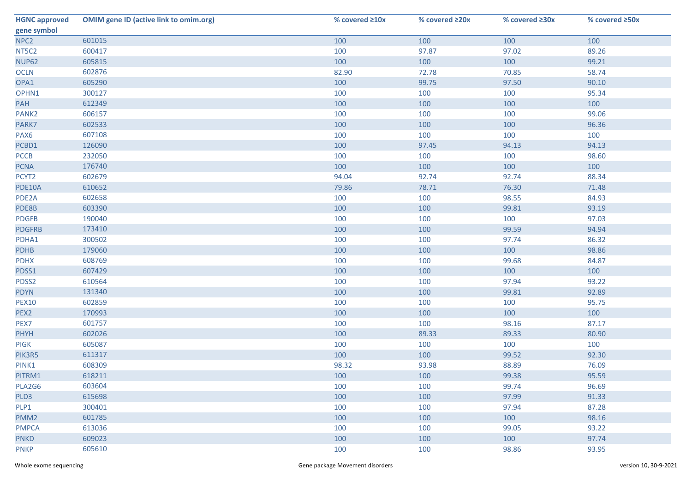| <b>HGNC approved</b> | <b>OMIM gene ID (active link to omim.org)</b> | % covered ≥10x | % covered ≥20x | % covered ≥30x | % covered ≥50x |
|----------------------|-----------------------------------------------|----------------|----------------|----------------|----------------|
| gene symbol          |                                               |                |                |                |                |
| NPC <sub>2</sub>     | 601015                                        | 100            | 100            | 100            | 100            |
| NT5C2                | 600417                                        | 100            | 97.87          | 97.02          | 89.26          |
| <b>NUP62</b>         | 605815                                        | 100            | 100            | 100            | 99.21          |
| OCLN                 | 602876                                        | 82.90          | 72.78          | 70.85          | 58.74          |
| OPA1                 | 605290                                        | 100            | 99.75          | 97.50          | 90.10          |
| OPHN1                | 300127                                        | 100            | 100            | 100            | 95.34          |
| PAH                  | 612349                                        | 100            | 100            | 100            | 100            |
| PANK <sub>2</sub>    | 606157                                        | 100            | 100            | 100            | 99.06          |
| PARK7                | 602533                                        | 100            | 100            | 100            | 96.36          |
| PAX6                 | 607108                                        | 100            | 100            | 100            | 100            |
| PCBD1                | 126090                                        | 100            | 97.45          | 94.13          | 94.13          |
| <b>PCCB</b>          | 232050                                        | 100            | 100            | 100            | 98.60          |
| <b>PCNA</b>          | 176740                                        | 100            | 100            | 100            | 100            |
| PCYT2                | 602679                                        | 94.04          | 92.74          | 92.74          | 88.34          |
| PDE10A               | 610652                                        | 79.86          | 78.71          | 76.30          | 71.48          |
| PDE2A                | 602658                                        | 100            | 100            | 98.55          | 84.93          |
| PDE8B                | 603390                                        | 100            | 100            | 99.81          | 93.19          |
| <b>PDGFB</b>         | 190040                                        | 100            | 100            | 100            | 97.03          |
| <b>PDGFRB</b>        | 173410                                        | 100            | 100            | 99.59          | 94.94          |
| PDHA1                | 300502                                        | 100            | 100            | 97.74          | 86.32          |
| <b>PDHB</b>          | 179060                                        | 100            | 100            | 100            | 98.86          |
| <b>PDHX</b>          | 608769                                        | 100            | 100            | 99.68          | 84.87          |
| PDSS1                | 607429                                        | 100            | 100            | 100            | 100            |
| PDSS2                | 610564                                        | 100            | 100            | 97.94          | 93.22          |
| <b>PDYN</b>          | 131340                                        | 100            | 100            | 99.81          | 92.89          |
| <b>PEX10</b>         | 602859                                        | 100            | 100            | 100            | 95.75          |
| PEX2                 | 170993                                        | 100            | 100            | 100            | 100            |
| PEX7                 | 601757                                        | 100            | 100            | 98.16          | 87.17          |
| <b>PHYH</b>          | 602026                                        | 100            | 89.33          | 89.33          | 80.90          |
| <b>PIGK</b>          | 605087                                        | 100            | 100            | 100            | 100            |
| PIK3R5               | 611317                                        | 100            | 100            | 99.52          | 92.30          |
| PINK1                | 608309                                        | 98.32          | 93.98          | 88.89          | 76.09          |
| PITRM1               | 618211                                        | 100            | 100            | 99.38          | 95.59          |
| PLA2G6               | 603604                                        | 100            | 100            | 99.74          | 96.69          |
| PLD3                 | 615698                                        | 100            | 100            | 97.99          | 91.33          |
| PLP1                 | 300401                                        | 100            | 100            | 97.94          | 87.28          |
| PMM <sub>2</sub>     | 601785                                        | 100            | 100            | 100            | 98.16          |
| <b>PMPCA</b>         | 613036                                        | 100            | 100            | 99.05          | 93.22          |
| <b>PNKD</b>          | 609023                                        | 100            | 100            | 100            | 97.74          |
| <b>PNKP</b>          | 605610                                        | 100            | 100            | 98.86          | 93.95          |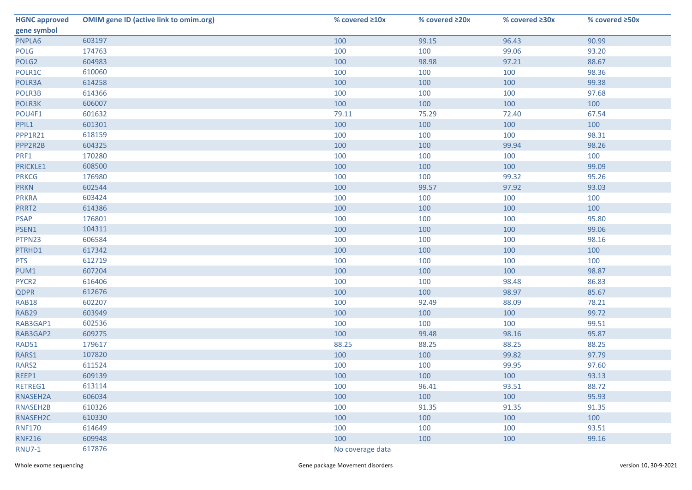| <b>HGNC approved</b> | <b>OMIM gene ID (active link to omim.org)</b> | % covered ≥10x   | % covered ≥20x | % covered ≥30x | % covered ≥50x |
|----------------------|-----------------------------------------------|------------------|----------------|----------------|----------------|
| gene symbol          |                                               |                  |                |                |                |
| PNPLA6               | 603197                                        | 100              | 99.15          | 96.43          | 90.99          |
| <b>POLG</b>          | 174763                                        | 100              | 100            | 99.06          | 93.20          |
| POLG <sub>2</sub>    | 604983                                        | 100              | 98.98          | 97.21          | 88.67          |
| POLR1C               | 610060                                        | 100              | 100            | 100            | 98.36          |
| POLR3A               | 614258                                        | 100              | 100            | 100            | 99.38          |
| POLR3B               | 614366                                        | 100              | 100            | 100            | 97.68          |
| POLR3K               | 606007                                        | 100              | 100            | 100            | 100            |
| POU4F1               | 601632                                        | 79.11            | 75.29          | 72.40          | 67.54          |
| PPIL1                | 601301                                        | 100              | 100            | 100            | 100            |
| PPP1R21              | 618159                                        | 100              | 100            | 100            | 98.31          |
| PPP2R2B              | 604325                                        | 100              | 100            | 99.94          | 98.26          |
| PRF1                 | 170280                                        | 100              | 100            | 100            | 100            |
| PRICKLE1             | 608500                                        | 100              | 100            | 100            | 99.09          |
| <b>PRKCG</b>         | 176980                                        | 100              | 100            | 99.32          | 95.26          |
| <b>PRKN</b>          | 602544                                        | 100              | 99.57          | 97.92          | 93.03          |
| <b>PRKRA</b>         | 603424                                        | 100              | 100            | 100            | 100            |
| PRRT2                | 614386                                        | 100              | 100            | 100            | 100            |
| <b>PSAP</b>          | 176801                                        | 100              | 100            | 100            | 95.80          |
| PSEN1                | 104311                                        | 100              | 100            | 100            | 99.06          |
| PTPN23               | 606584                                        | 100              | 100            | 100            | 98.16          |
| PTRHD1               | 617342                                        | 100              | 100            | 100            | 100            |
| <b>PTS</b>           | 612719                                        | 100              | 100            | 100            | 100            |
| PUM1                 | 607204                                        | 100              | 100            | 100            | 98.87          |
| PYCR2                | 616406                                        | 100              | 100            | 98.48          | 86.83          |
| <b>QDPR</b>          | 612676                                        | 100              | 100            | 98.97          | 85.67          |
| <b>RAB18</b>         | 602207                                        | 100              | 92.49          | 88.09          | 78.21          |
| RAB29                | 603949                                        | 100              | 100            | 100            | 99.72          |
| RAB3GAP1             | 602536                                        | 100              | 100            | 100            | 99.51          |
| RAB3GAP2             | 609275                                        | 100              | 99.48          | 98.16          | 95.87          |
| RAD51                | 179617                                        | 88.25            | 88.25          | 88.25          | 88.25          |
| RARS1                | 107820                                        | 100              | 100            | 99.82          | 97.79          |
| RARS2                | 611524                                        | 100              | 100            | 99.95          | 97.60          |
| REEP1                | 609139                                        | 100              | 100            | 100            | 93.13          |
| RETREG1              | 613114                                        | 100              | 96.41          | 93.51          | 88.72          |
| RNASEH2A             | 606034                                        | 100              | 100            | 100            | 95.93          |
| RNASEH2B             | 610326                                        | 100              | 91.35          | 91.35          | 91.35          |
| RNASEH2C             | 610330                                        | 100              | 100            | 100            | 100            |
| <b>RNF170</b>        | 614649                                        | 100              | 100            | 100            | 93.51          |
| <b>RNF216</b>        | 609948                                        | 100              | 100            | 100            | 99.16          |
| <b>RNU7-1</b>        | 617876                                        | No coverage data |                |                |                |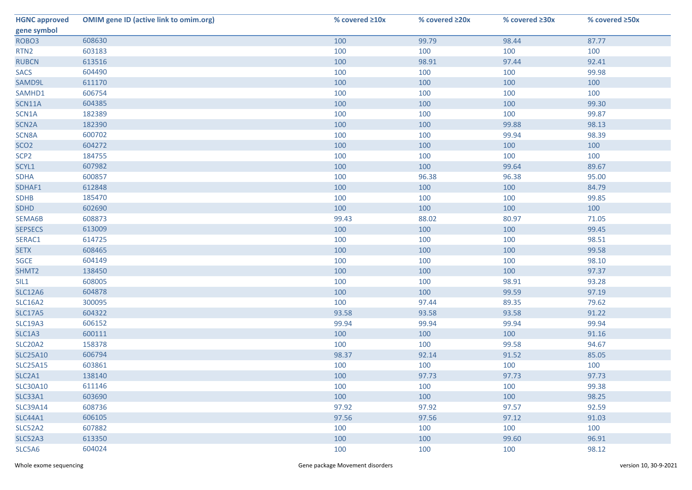| <b>HGNC approved</b> | <b>OMIM gene ID (active link to omim.org)</b> | % covered ≥10x | % covered ≥20x | % covered ≥30x | % covered ≥50x |
|----------------------|-----------------------------------------------|----------------|----------------|----------------|----------------|
| gene symbol          |                                               |                |                |                |                |
| ROBO <sub>3</sub>    | 608630                                        | 100            | 99.79          | 98.44          | 87.77          |
| RTN <sub>2</sub>     | 603183                                        | 100            | 100            | 100            | 100            |
| <b>RUBCN</b>         | 613516                                        | 100            | 98.91          | 97.44          | 92.41          |
| <b>SACS</b>          | 604490                                        | 100            | 100            | 100            | 99.98          |
| SAMD9L               | 611170                                        | 100            | 100            | 100            | 100            |
| SAMHD1               | 606754                                        | 100            | 100            | 100            | 100            |
| SCN11A               | 604385                                        | 100            | 100            | 100            | 99.30          |
| SCN1A                | 182389                                        | 100            | 100            | 100            | 99.87          |
| SCN <sub>2</sub> A   | 182390                                        | 100            | 100            | 99.88          | 98.13          |
| SCN8A                | 600702                                        | 100            | 100            | 99.94          | 98.39          |
| SCO <sub>2</sub>     | 604272                                        | 100            | 100            | 100            | 100            |
| SCP <sub>2</sub>     | 184755                                        | 100            | 100            | 100            | 100            |
| SCYL1                | 607982                                        | 100            | 100            | 99.64          | 89.67          |
| <b>SDHA</b>          | 600857                                        | 100            | 96.38          | 96.38          | 95.00          |
| SDHAF1               | 612848                                        | 100            | 100            | 100            | 84.79          |
| <b>SDHB</b>          | 185470                                        | 100            | 100            | 100            | 99.85          |
| <b>SDHD</b>          | 602690                                        | 100            | 100            | 100            | 100            |
| SEMA6B               | 608873                                        | 99.43          | 88.02          | 80.97          | 71.05          |
| <b>SEPSECS</b>       | 613009                                        | 100            | 100            | 100            | 99.45          |
| SERAC1               | 614725                                        | 100            | 100            | 100            | 98.51          |
| <b>SETX</b>          | 608465                                        | 100            | 100            | 100            | 99.58          |
| SGCE                 | 604149                                        | 100            | 100            | 100            | 98.10          |
| SHMT2                | 138450                                        | 100            | 100            | 100            | 97.37          |
| SIL1                 | 608005                                        | 100            | 100            | 98.91          | 93.28          |
| <b>SLC12A6</b>       | 604878                                        | 100            | 100            | 99.59          | 97.19          |
| <b>SLC16A2</b>       | 300095                                        | 100            | 97.44          | 89.35          | 79.62          |
| <b>SLC17A5</b>       | 604322                                        | 93.58          | 93.58          | 93.58          | 91.22          |
| <b>SLC19A3</b>       | 606152                                        | 99.94          | 99.94          | 99.94          | 99.94          |
| SLC1A3               | 600111                                        | 100            | 100            | 100            | 91.16          |
| <b>SLC20A2</b>       | 158378                                        | 100            | 100            | 99.58          | 94.67          |
| <b>SLC25A10</b>      | 606794                                        | 98.37          | 92.14          | 91.52          | 85.05          |
| <b>SLC25A15</b>      | 603861                                        | 100            | 100            | 100            | 100            |
| SLC2A1               | 138140                                        | 100            | 97.73          | 97.73          | 97.73          |
| <b>SLC30A10</b>      | 611146                                        | 100            | 100            | 100            | 99.38          |
| <b>SLC33A1</b>       | 603690                                        | 100            | 100            | 100            | 98.25          |
| <b>SLC39A14</b>      | 608736                                        | 97.92          | 97.92          | 97.57          | 92.59          |
| <b>SLC44A1</b>       | 606105                                        | 97.56          | 97.56          | 97.12          | 91.03          |
| SLC52A2              | 607882                                        | 100            | 100            | 100            | 100            |
| <b>SLC52A3</b>       | 613350                                        | 100            | 100            | 99.60          | 96.91          |
| SLC5A6               | 604024                                        | 100            | 100            | 100            | 98.12          |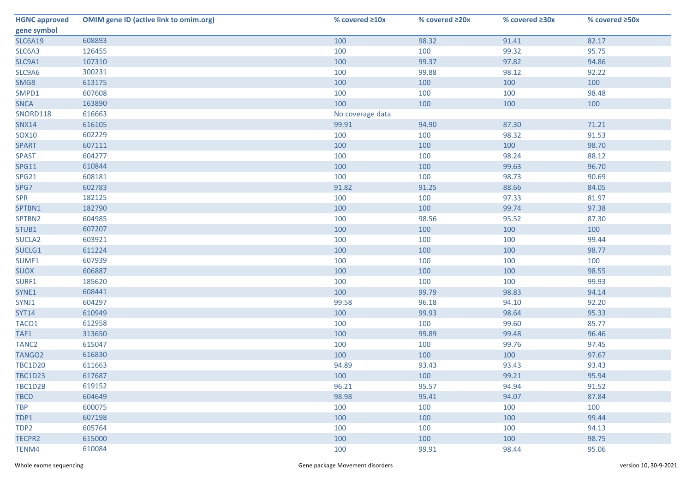| <b>HGNC approved</b> | <b>OMIM gene ID (active link to omim.org)</b> | % covered ≥10x   | % covered ≥20x | % covered ≥30x | % covered ≥50x |
|----------------------|-----------------------------------------------|------------------|----------------|----------------|----------------|
| gene symbol          |                                               |                  |                |                |                |
| <b>SLC6A19</b>       | 608893                                        | 100              | 98.32          | 91.41          | 82.17          |
| SLC6A3               | 126455                                        | 100              | 100            | 99.32          | 95.75          |
| SLC9A1               | 107310                                        | 100              | 99.37          | 97.82          | 94.86          |
| SLC9A6               | 300231                                        | 100              | 99.88          | 98.12          | 92.22          |
| SMG8                 | 613175                                        | 100              | 100            | 100            | 100            |
| SMPD1                | 607608                                        | 100              | 100            | 100            | 98.48          |
| <b>SNCA</b>          | 163890                                        | 100              | 100            | 100            | 100            |
| SNORD118             | 616663                                        | No coverage data |                |                |                |
| <b>SNX14</b>         | 616105                                        | 99.91            | 94.90          | 87.30          | 71.21          |
| SOX10                | 602229                                        | 100              | 100            | 98.32          | 91.53          |
| <b>SPART</b>         | 607111                                        | 100              | 100            | 100            | 98.70          |
| <b>SPAST</b>         | 604277                                        | 100              | 100            | 98.24          | 88.12          |
| <b>SPG11</b>         | 610844                                        | 100              | 100            | 99.63          | 96.70          |
| SPG21                | 608181                                        | 100              | 100            | 98.73          | 90.69          |
| SPG7                 | 602783                                        | 91.82            | 91.25          | 88.66          | 84.05          |
| <b>SPR</b>           | 182125                                        | 100              | 100            | 97.33          | 81.97          |
| SPTBN1               | 182790                                        | 100              | 100            | 99.74          | 97.38          |
| SPTBN2               | 604985                                        | 100              | 98.56          | 95.52          | 87.30          |
| STUB1                | 607207                                        | 100              | 100            | 100            | 100            |
| SUCLA <sub>2</sub>   | 603921                                        | 100              | 100            | 100            | 99.44          |
| SUCLG1               | 611224                                        | 100              | 100            | 100            | 98.77          |
| SUMF1                | 607939                                        | 100              | 100            | 100            | 100            |
| <b>SUOX</b>          | 606887                                        | 100              | 100            | 100            | 98.55          |
| SURF1                | 185620                                        | 100              | 100            | 100            | 99.93          |
| SYNE1                | 608441                                        | 100              | 99.79          | 98.83          | 94.14          |
| SYNJ1                | 604297                                        | 99.58            | 96.18          | 94.10          | 92.20          |
| <b>SYT14</b>         | 610949                                        | 100              | 99.93          | 98.64          | 95.33          |
| TACO1                | 612958                                        | 100              | 100            | 99.60          | 85.77          |
| TAF1                 | 313650                                        | 100              | 99.89          | 99.48          | 96.46          |
| TANC <sub>2</sub>    | 615047                                        | 100              | 100            | 99.76          | 97.45          |
| TANGO <sub>2</sub>   | 616830                                        | 100              | 100            | 100            | 97.67          |
| <b>TBC1D20</b>       | 611663                                        | 94.89            | 93.43          | 93.43          | 93.43          |
| <b>TBC1D23</b>       | 617687                                        | 100              | 100            | 99.21          | 95.94          |
| TBC1D2B              | 619152                                        | 96.21            | 95.57          | 94.94          | 91.52          |
| <b>TBCD</b>          | 604649                                        | 98.98            | 95.41          | 94.07          | 87.84          |
| <b>TBP</b>           | 600075                                        | 100              | 100            | 100            | 100            |
| TDP1                 | 607198                                        | 100              | 100            | 100            | 99.44          |
| TDP2                 | 605764                                        | 100              | 100            | 100            | 94.13          |
| <b>TECPR2</b>        | 615000                                        | 100              | 100            | 100            | 98.75          |
| TENM4                | 610084                                        | 100              | 99.91          | 98.44          | 95.06          |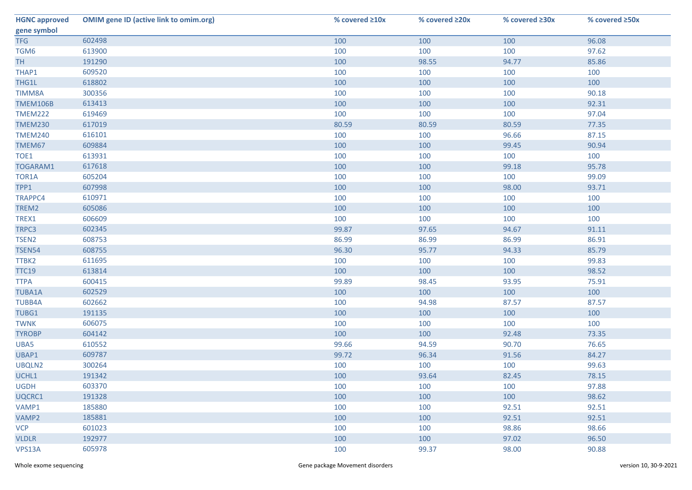| <b>HGNC approved</b> | <b>OMIM gene ID (active link to omim.org)</b> | % covered $\geq 10x$ | % covered ≥20x | % covered ≥30x | % covered ≥50x |
|----------------------|-----------------------------------------------|----------------------|----------------|----------------|----------------|
| gene symbol          |                                               |                      |                |                |                |
| <b>TFG</b>           | 602498                                        | 100                  | 100            | 100            | 96.08          |
| TGM6                 | 613900                                        | 100                  | 100            | 100            | 97.62          |
| <b>TH</b>            | 191290                                        | 100                  | 98.55          | 94.77          | 85.86          |
| THAP1                | 609520                                        | 100                  | 100            | 100            | 100            |
| THG1L                | 618802                                        | 100                  | 100            | 100            | 100            |
| TIMM8A               | 300356                                        | 100                  | 100            | 100            | 90.18          |
| <b>TMEM106B</b>      | 613413                                        | 100                  | 100            | 100            | 92.31          |
| <b>TMEM222</b>       | 619469                                        | 100                  | 100            | 100            | 97.04          |
| <b>TMEM230</b>       | 617019                                        | 80.59                | 80.59          | 80.59          | 77.35          |
| <b>TMEM240</b>       | 616101                                        | 100                  | 100            | 96.66          | 87.15          |
| TMEM67               | 609884                                        | 100                  | 100            | 99.45          | 90.94          |
| TOE1                 | 613931                                        | 100                  | 100            | 100            | 100            |
| TOGARAM1             | 617618                                        | 100                  | 100            | 99.18          | 95.78          |
| TOR1A                | 605204                                        | 100                  | 100            | 100            | 99.09          |
| TPP1                 | 607998                                        | 100                  | 100            | 98.00          | 93.71          |
| TRAPPC4              | 610971                                        | 100                  | 100            | 100            | 100            |
| TREM2                | 605086                                        | 100                  | 100            | 100            | 100            |
| TREX1                | 606609                                        | 100                  | 100            | 100            | 100            |
| TRPC3                | 602345                                        | 99.87                | 97.65          | 94.67          | 91.11          |
| TSEN <sub>2</sub>    | 608753                                        | 86.99                | 86.99          | 86.99          | 86.91          |
| <b>TSEN54</b>        | 608755                                        | 96.30                | 95.77          | 94.33          | 85.79          |
| TTBK2                | 611695                                        | 100                  | 100            | 100            | 99.83          |
| <b>TTC19</b>         | 613814                                        | 100                  | 100            | 100            | 98.52          |
| <b>TTPA</b>          | 600415                                        | 99.89                | 98.45          | 93.95          | 75.91          |
| <b>TUBA1A</b>        | 602529                                        | 100                  | 100            | 100            | 100            |
| <b>TUBB4A</b>        | 602662                                        | 100                  | 94.98          | 87.57          | 87.57          |
| TUBG1                | 191135                                        | 100                  | 100            | 100            | 100            |
| <b>TWNK</b>          | 606075                                        | 100                  | 100            | 100            | 100            |
| <b>TYROBP</b>        | 604142                                        | 100                  | 100            | 92.48          | 73.35          |
| UBA5                 | 610552                                        | 99.66                | 94.59          | 90.70          | 76.65          |
| UBAP1                | 609787                                        | 99.72                | 96.34          | 91.56          | 84.27          |
| UBQLN2               | 300264                                        | 100                  | 100            | 100            | 99.63          |
| UCHL1                | 191342                                        | 100                  | 93.64          | 82.45          | 78.15          |
| <b>UGDH</b>          | 603370                                        | 100                  | 100            | 100            | 97.88          |
| UQCRC1               | 191328                                        | 100                  | 100            | 100            | 98.62          |
| VAMP1                | 185880                                        | 100                  | 100            | 92.51          | 92.51          |
| VAMP2                | 185881                                        | 100                  | 100            | 92.51          | 92.51          |
| <b>VCP</b>           | 601023                                        | 100                  | 100            | 98.86          | 98.66          |
| <b>VLDLR</b>         | 192977                                        | 100                  | 100            | 97.02          | 96.50          |
| VPS13A               | 605978                                        | 100                  | 99.37          | 98.00          | 90.88          |